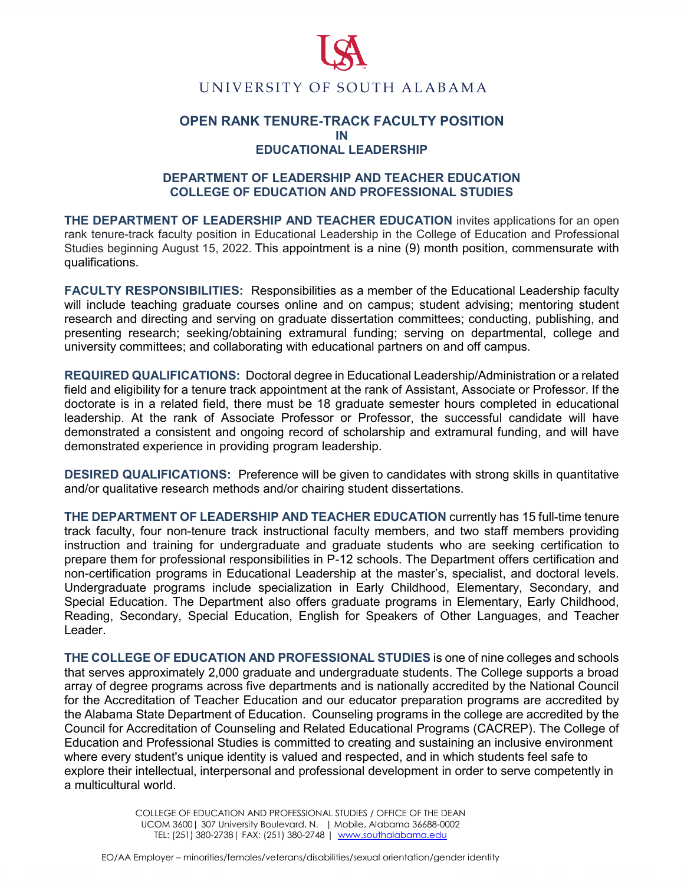

## **OPEN RANK TENURE-TRACK FACULTY POSITION IN EDUCATIONAL LEADERSHIP**

## **DEPARTMENT OF LEADERSHIP AND TEACHER EDUCATION COLLEGE OF EDUCATION AND PROFESSIONAL STUDIES**

**THE DEPARTMENT OF LEADERSHIP AND TEACHER EDUCATION** invites applications for an open rank tenure-track faculty position in Educational Leadership in the College of Education and Professional Studies beginning August 15, 2022. This appointment is a nine (9) month position, commensurate with qualifications.

**FACULTY RESPONSIBILITIES:** Responsibilities as a member of the Educational Leadership faculty will include teaching graduate courses online and on campus; student advising; mentoring student research and directing and serving on graduate dissertation committees; conducting, publishing, and presenting research; seeking/obtaining extramural funding; serving on departmental, college and university committees; and collaborating with educational partners on and off campus.

**REQUIRED QUALIFICATIONS:** Doctoral degree in Educational Leadership/Administration or a related field and eligibility for a tenure track appointment at the rank of Assistant, Associate or Professor. If the doctorate is in a related field, there must be 18 graduate semester hours completed in educational leadership. At the rank of Associate Professor or Professor, the successful candidate will have demonstrated a consistent and ongoing record of scholarship and extramural funding, and will have demonstrated experience in providing program leadership.

**DESIRED QUALIFICATIONS:** Preference will be given to candidates with strong skills in quantitative and/or qualitative research methods and/or chairing student dissertations.

**THE DEPARTMENT OF LEADERSHIP AND TEACHER EDUCATION** currently has 15 full-time tenure track faculty, four non-tenure track instructional faculty members, and two staff members providing instruction and training for undergraduate and graduate students who are seeking certification to prepare them for professional responsibilities in P-12 schools. The Department offers certification and non-certification programs in Educational Leadership at the master's, specialist, and doctoral levels. Undergraduate programs include specialization in Early Childhood, Elementary, Secondary, and Special Education. The Department also offers graduate programs in Elementary, Early Childhood, Reading, Secondary, Special Education, English for Speakers of Other Languages, and Teacher Leader.

**THE COLLEGE OF EDUCATION AND PROFESSIONAL STUDIES** is one of nine colleges and schools that serves approximately 2,000 graduate and undergraduate students. The College supports a broad array of degree programs across five departments and is nationally accredited by the National Council for the Accreditation of Teacher Education and our educator preparation programs are accredited by the Alabama State Department of Education. Counseling programs in the college are accredited by the Council for Accreditation of Counseling and Related Educational Programs (CACREP). The College of Education and Professional Studies is committed to creating and sustaining an inclusive environment where every student's unique identity is valued and respected, and in which students feel safe to explore their intellectual, interpersonal and professional development in order to serve competently in a multicultural world.

> COLLEGE OF EDUCATION AND PROFESSIONAL STUDIES / OFFICE OF THE DEAN UCOM 3600| 307 University Boulevard, N. | Mobile, Alabama 36688-0002 TEL: (251) 380-2738 | FAX: (251) 380-2748 | [www.southalabama.edu](http://www.southalabama.edu/)